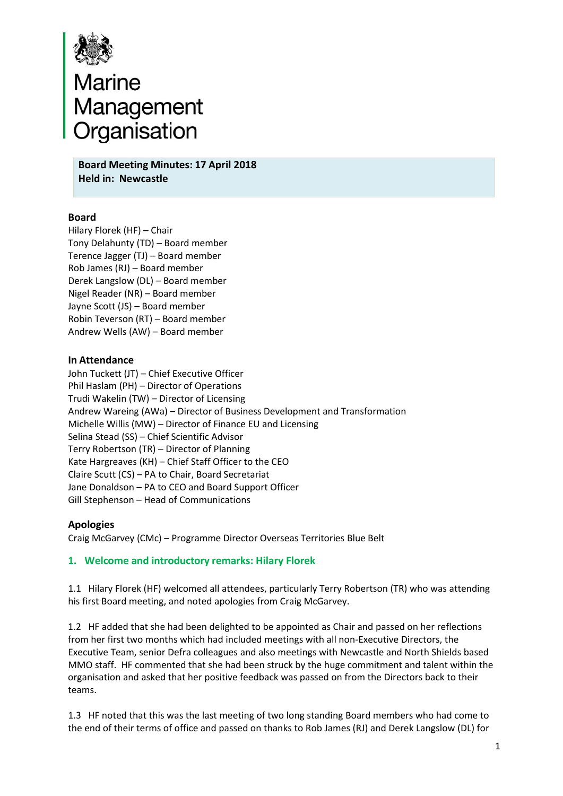

# **Board**<br>**Board Meeting Minutes: 17 April 2018**<br>Board Meeting Minutes: 17 April 2018

**Held in: Newcastle**

## **Board**

Hilary Florek (HF) – Chair Tony Delahunty (TD) – Board member Terence Jagger (TJ) – Board member Rob James (RJ) – Board member Derek Langslow (DL) – Board member Nigel Reader (NR) – Board member Jayne Scott (JS) – Board member Robin Teverson (RT) – Board member Andrew Wells (AW) – Board member

## **In Attendance**

John Tuckett (JT) – Chief Executive Officer Phil Haslam (PH) – Director of Operations Trudi Wakelin (TW) – Director of Licensing Andrew Wareing (AWa) – Director of Business Development and Transformation Michelle Willis (MW) – Director of Finance EU and Licensing Selina Stead (SS) – Chief Scientific Advisor Terry Robertson (TR) – Director of Planning Kate Hargreaves (KH) – Chief Staff Officer to the CEO Claire Scutt (CS) – PA to Chair, Board Secretariat Jane Donaldson – PA to CEO and Board Support Officer Gill Stephenson – Head of Communications

## **Apologies**

Craig McGarvey (CMc) – Programme Director Overseas Territories Blue Belt

## **1. Welcome and introductory remarks: Hilary Florek**

1.1 Hilary Florek (HF) welcomed all attendees, particularly Terry Robertson (TR) who was attending his first Board meeting, and noted apologies from Craig McGarvey.

1.2 HF added that she had been delighted to be appointed as Chair and passed on her reflections from her first two months which had included meetings with all non‐Executive Directors, the Executive Team, senior Defra colleagues and also meetings with Newcastle and North Shields based MMO staff. HF commented that she had been struck by the huge commitment and talent within the organisation and asked that her positive feedback was passed on from the Directors back to their teams.

1.3 HF noted that this was the last meeting of two long standing Board members who had come to the end of their terms of office and passed on thanks to Rob James (RJ) and Derek Langslow (DL) for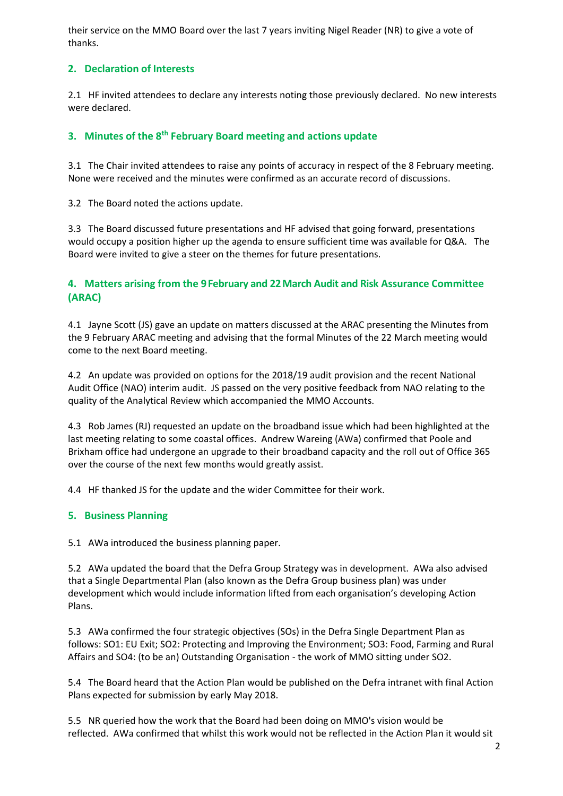their service on the MMO Board over the last 7 years inviting Nigel Reader (NR) to give a vote of thanks.

# **2. Declaration of Interests**

2.1 HF invited attendees to declare any interests noting those previously declared. No new interests were declared.

# **3. Minutes of the 8th February Board meeting and actions update**

3.1 The Chair invited attendees to raise any points of accuracy in respect of the 8 February meeting. None were received and the minutes were confirmed as an accurate record of discussions.

3.2 The Board noted the actions update.

3.3 The Board discussed future presentations and HF advised that going forward, presentations would occupy a position higher up the agenda to ensure sufficient time was available for Q&A. The Board were invited to give a steer on the themes for future presentations.

## **4. Matters arising from the 9February and 22March Audit and Risk Assurance Committee (ARAC)**

4.1 Jayne Scott (JS) gave an update on matters discussed at the ARAC presenting the Minutes from the 9 February ARAC meeting and advising that the formal Minutes of the 22 March meeting would come to the next Board meeting.

4.2 An update was provided on options for the 2018/19 audit provision and the recent National Audit Office (NAO) interim audit. JS passed on the very positive feedback from NAO relating to the quality of the Analytical Review which accompanied the MMO Accounts.

4.3 Rob James (RJ) requested an update on the broadband issue which had been highlighted at the last meeting relating to some coastal offices. Andrew Wareing (AWa) confirmed that Poole and Brixham office had undergone an upgrade to their broadband capacity and the roll out of Office 365 over the course of the next few months would greatly assist.

4.4 HF thanked JS for the update and the wider Committee for their work.

## **5. Business Planning**

5.1 AWa introduced the business planning paper.

5.2 AWa updated the board that the Defra Group Strategy was in development. AWa also advised that a Single Departmental Plan (also known as the Defra Group business plan) was under development which would include information lifted from each organisation's developing Action Plans.

5.3 AWa confirmed the four strategic objectives (SOs) in the Defra Single Department Plan as follows: SO1: EU Exit; SO2: Protecting and Improving the Environment; SO3: Food, Farming and Rural Affairs and SO4: (to be an) Outstanding Organisation ‐ the work of MMO sitting under SO2.

5.4 The Board heard that the Action Plan would be published on the Defra intranet with final Action Plans expected for submission by early May 2018.

5.5 NR queried how the work that the Board had been doing on MMO's vision would be reflected. AWa confirmed that whilst this work would not be reflected in the Action Plan it would sit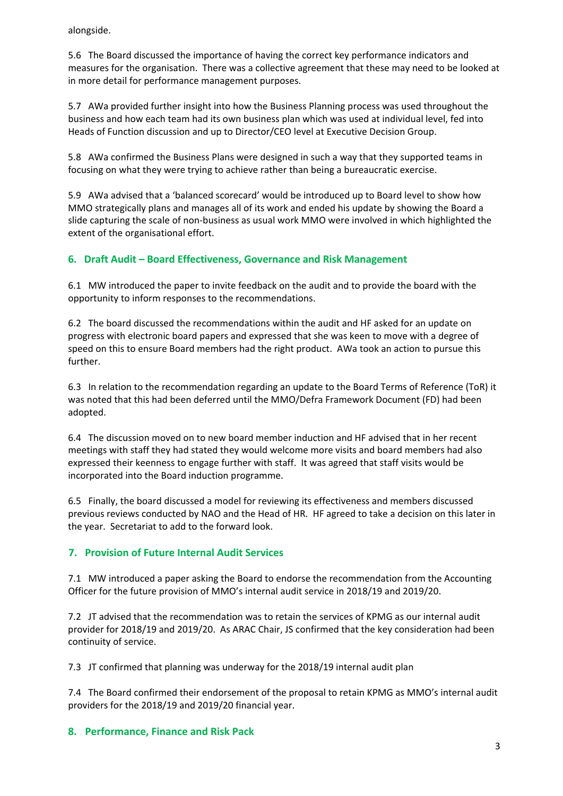alongside.

5.6 The Board discussed the importance of having the correct key performance indicators and measures for the organisation. There was a collective agreement that these may need to be looked at in more detail for performance management purposes.

5.7 AWa provided further insight into how the Business Planning process was used throughout the business and how each team had its own business plan which was used at individual level, fed into Heads of Function discussion and up to Director/CEO level at Executive Decision Group.

5.8 AWa confirmed the Business Plans were designed in such a way that they supported teams in focusing on what they were trying to achieve rather than being a bureaucratic exercise.

5.9 AWa advised that a 'balanced scorecard' would be introduced up to Board level to show how MMO strategically plans and manages all of its work and ended his update by showing the Board a slide capturing the scale of non‐business as usual work MMO were involved in which highlighted the extent of the organisational effort.

# **6. Draft Audit – Board Effectiveness, Governance and Risk Management**

6.1 MW introduced the paper to invite feedback on the audit and to provide the board with the opportunity to inform responses to the recommendations.

6.2 The board discussed the recommendations within the audit and HF asked for an update on progress with electronic board papers and expressed that she was keen to move with a degree of speed on this to ensure Board members had the right product. AWa took an action to pursue this further.

6.3 In relation to the recommendation regarding an update to the Board Terms of Reference (ToR) it was noted that this had been deferred until the MMO/Defra Framework Document (FD) had been adopted.

6.4 The discussion moved on to new board member induction and HF advised that in her recent meetings with staff they had stated they would welcome more visits and board members had also expressed their keenness to engage further with staff. It was agreed that staff visits would be incorporated into the Board induction programme.

6.5 Finally, the board discussed a model for reviewing its effectiveness and members discussed previous reviews conducted by NAO and the Head of HR. HF agreed to take a decision on this later in the year. Secretariat to add to the forward look.

# **7. Provision of Future Internal Audit Services**

7.1 MW introduced a paper asking the Board to endorse the recommendation from the Accounting Officer for the future provision of MMO's internal audit service in 2018/19 and 2019/20.

7.2 JT advised that the recommendation was to retain the services of KPMG as our internal audit provider for 2018/19 and 2019/20. As ARAC Chair, JS confirmed that the key consideration had been continuity of service.

7.3 JT confirmed that planning was underway for the 2018/19 internal audit plan

7.4 The Board confirmed their endorsement of the proposal to retain KPMG as MMO's internal audit providers for the 2018/19 and 2019/20 financial year.

## **8. Performance, Finance and Risk Pack**